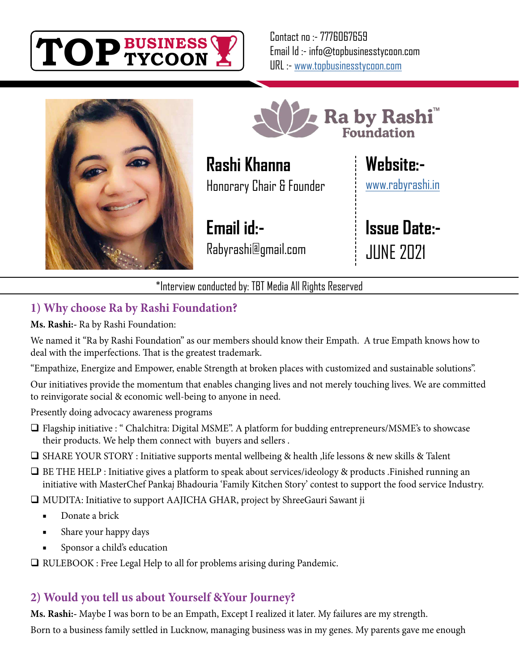

Contact no :- 7776067659 Email Id :- info@topbusinesstycoon.com URL :- [www.topbusinesstycoon.com](https://www.topbusinesstycoon.com/)





**Rashi Khanna** Honorary Chair & Founder

**Email id:-** Rabyrashi@gmail.com **Website:-**

[www.rabyrashi.in](http://www.rabyrashi.in)

**Issue Date:-** JUNE 2021

\*Interview conducted by: TBT Media All Rights Reserved

## **1) Why choose Ra by Rashi Foundation?**

**Ms. Rashi:-** Ra by Rashi Foundation:

We named it "Ra by Rashi Foundation" as our members should know their Empath. A true Empath knows how to deal with the imperfections. That is the greatest trademark.

"Empathize, Energize and Empower, enable Strength at broken places with customized and sustainable solutions".

Our initiatives provide the momentum that enables changing lives and not merely touching lives. We are committed to reinvigorate social & economic well-being to anyone in need.

Presently doing advocacy awareness programs

- Flagship initiative : " Chalchitra: Digital MSME". A platform for budding entrepreneurs/MSME's to showcase their products. We help them connect with buyers and sellers .
- $\Box$  SHARE YOUR STORY : Initiative supports mental wellbeing & health , life lessons & new skills & Talent
- BE THE HELP : Initiative gives a platform to speak about services/ideology & products .Finished running an initiative with MasterChef Pankaj Bhadouria 'Family Kitchen Story' contest to support the food service Industry.

MUDITA: Initiative to support AAJICHA GHAR, project by ShreeGauri Sawant ji

- Donate a brick
- Share your happy days
- Sponsor a child's education

□ RULEBOOK : Free Legal Help to all for problems arising during Pandemic.

## **2) Would you tell us about Yourself &Your Journey?**

**Ms. Rashi:-** Maybe I was born to be an Empath, Except I realized it later. My failures are my strength. Born to a business family settled in Lucknow, managing business was in my genes. My parents gave me enough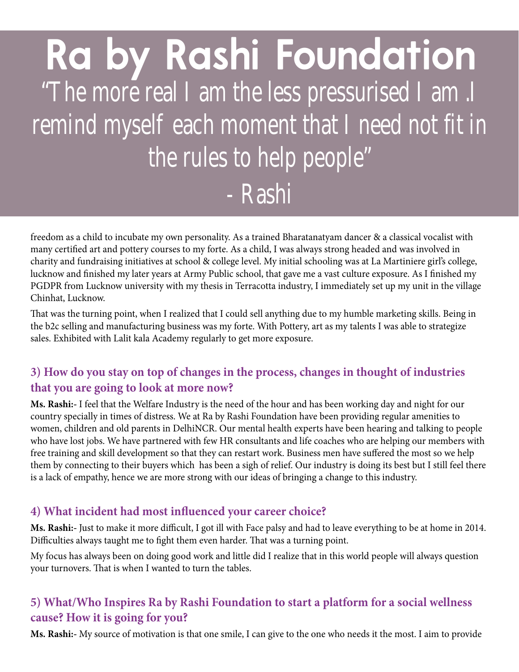# "The more real I am the less pressurised I am .I remind myself each moment that I need not fit in the rules to help people" - Rashi **Ra by Rashi Foundation**

freedom as a child to incubate my own personality. As a trained Bharatanatyam dancer & a classical vocalist with many certified art and pottery courses to my forte. As a child, I was always strong headed and was involved in charity and fundraising initiatives at school & college level. My initial schooling was at La Martiniere girl's college, lucknow and finished my later years at Army Public school, that gave me a vast culture exposure. As I finished my PGDPR from Lucknow university with my thesis in Terracotta industry, I immediately set up my unit in the village Chinhat, Lucknow.

That was the turning point, when I realized that I could sell anything due to my humble marketing skills. Being in the b2c selling and manufacturing business was my forte. With Pottery, art as my talents I was able to strategize sales. Exhibited with Lalit kala Academy regularly to get more exposure.

#### **3) How do you stay on top of changes in the process, changes in thought of industries that you are going to look at more now?**

**Ms. Rashi:-** I feel that the Welfare Industry is the need of the hour and has been working day and night for our country specially in times of distress. We at Ra by Rashi Foundation have been providing regular amenities to women, children and old parents in DelhiNCR. Our mental health experts have been hearing and talking to people who have lost jobs. We have partnered with few HR consultants and life coaches who are helping our members with free training and skill development so that they can restart work. Business men have suffered the most so we help them by connecting to their buyers which has been a sigh of relief. Our industry is doing its best but I still feel there is a lack of empathy, hence we are more strong with our ideas of bringing a change to this industry.

#### **4) What incident had most influenced your career choice?**

**Ms. Rashi:-** Just to make it more difficult, I got ill with Face palsy and had to leave everything to be at home in 2014. Difficulties always taught me to fight them even harder. That was a turning point.

My focus has always been on doing good work and little did I realize that in this world people will always question your turnovers. That is when I wanted to turn the tables.

#### **5) What/Who Inspires Ra by Rashi Foundation to start a platform for a social wellness cause? How it is going for you?**

**Ms. Rashi:-** My source of motivation is that one smile, I can give to the one who needs it the most. I aim to provide